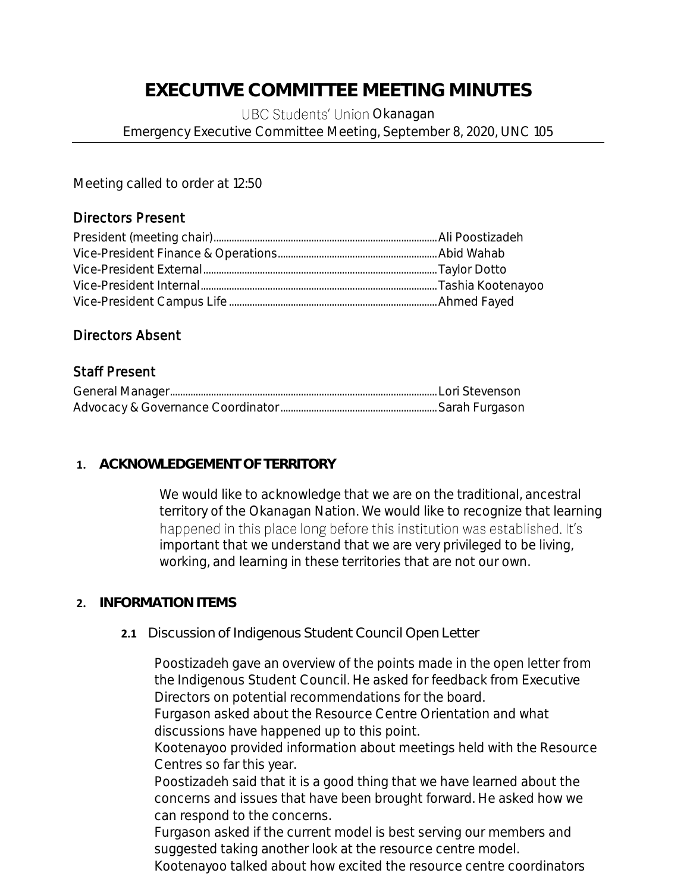# **EXECUTIVE COMMITTEE MEETING MINUTES**

UBC Students' Union Okanagan Emergency Executive Committee Meeting, September 8, 2020, UNC 105

Meeting called to order at 12:50

## Directors Present

#### Directors Absent

## Staff Present

#### **1. ACKNOWLEDGEMENT OF TERRITORY**

We would like to acknowledge that we are on the traditional, ancestral territory of the Okanagan Nation. We would like to recognize that learning happened in this place long before this institution was established. It's important that we understand that we are very privileged to be living, working, and learning in these territories that are not our own.

#### **2. INFORMATION ITEMS**

#### **2.1** Discussion of Indigenous Student Council Open Letter

Poostizadeh gave an overview of the points made in the open letter from the Indigenous Student Council. He asked for feedback from Executive Directors on potential recommendations for the board.

Furgason asked about the Resource Centre Orientation and what discussions have happened up to this point.

Kootenayoo provided information about meetings held with the Resource Centres so far this year.

Poostizadeh said that it is a good thing that we have learned about the concerns and issues that have been brought forward. He asked how we can respond to the concerns.

Furgason asked if the current model is best serving our members and suggested taking another look at the resource centre model.

Kootenayoo talked about how excited the resource centre coordinators